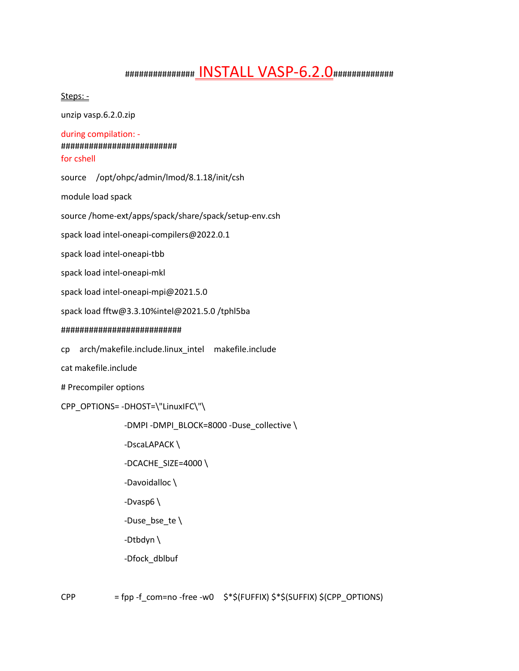# ############### INSTALL VASP-6.2.0###############

Steps: -

unzip vasp.6.2.0.zip

#### during compilation: -

### ######################### for cshell

source /opt/ohpc/admin/lmod/8.1.18/init/csh

module load spack

source /home-ext/apps/spack/share/spack/setup-env.csh

spack load intel-oneapi-compilers@2022.0.1

spack load intel-oneapi-tbb

spack load intel-oneapi-mkl

spack load intel-oneapi-mpi@2021.5.0

spack load fftw@3.3.10%intel@2021.5.0 /tphl5ba

#### 

cp arch/makefile.include.linux\_intel makefile.include

cat makefile.include

# Precompiler options

```
CPP OPTIONS=-DHOST=\"LinuxIFC\"\
```

```
-DMPI -DMPI_BLOCK=8000 -Duse_collective \
```
-DscaLAPACK\

-DCACHE\_SIZE=4000\

-Davoidalloc \

-Dvasp6 $\setminus$ 

-Duse bse te $\setminus$ 

-Dtbdyn $\setminus$ 

-Dfock\_dblbuf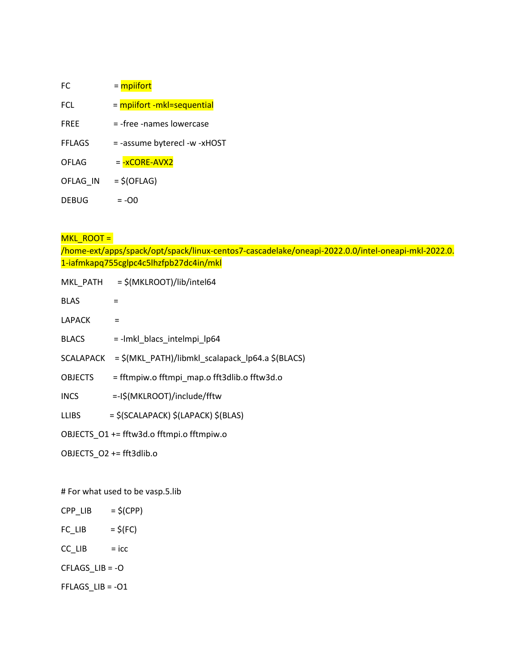| FC.           | = mpiifort                   |
|---------------|------------------------------|
| FCL.          | = mpiifort -mkl=sequential   |
| <b>FREE</b>   | = -free -names lowercase     |
| <b>FFLAGS</b> | = -assume byterecl -w -xHOST |
| OFLAG         | = -xCORE-AVX2                |
| OFLAG IN      | $=$ \$(OFLAG)                |
| <b>DEBUG</b>  | $= -00$                      |

## MKL\_ROOT =

/home-ext/apps/spack/opt/spack/linux-centos7-cascadelake/oneapi-2022.0.0/intel-oneapi-mkl-2022.0. 1-iafmkapq755cglpc4c5lhzfpb27dc4in/mkl

| MKL PATH                                  | = \$(MKLROOT)/lib/intel64                                  |
|-------------------------------------------|------------------------------------------------------------|
| <b>BLAS</b>                               | $=$                                                        |
| LAPACK                                    |                                                            |
| <b>BLACS</b>                              | =-lmkl_blacs_intelmpi_lp64                                 |
|                                           | SCALAPACK = \$(MKL PATH)/libmkl scalapack lp64.a \$(BLACS) |
| <b>OBJECTS</b>                            | = fftmpiw.o fftmpi map.o fft3dlib.o fftw3d.o               |
| <b>INCS</b>                               | =-I\$(MKLROOT)/include/fftw                                |
| LLIBS                                     | $=$ \$(SCALAPACK) \$(LAPACK) \$(BLAS)                      |
| OBJECTS_O1 += fftw3d.o fftmpi.o fftmpiw.o |                                                            |

OBJECTS\_O2 += fft3dlib.o

# For what used to be vasp.5.lib

- $CPP$ \_LIB =  $\zeta(CPP)$  $FC_LIB$  =  $$(FC)$
- $CC$ \_LIB = icc

CFLAGS\_LIB = -O

FFLAGS\_LIB = -O1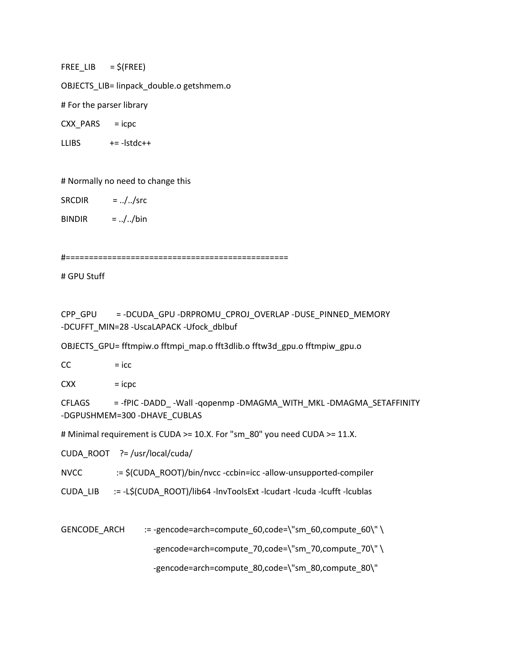FREE LIB  $= $$ (FREE)

OBJECTS\_LIB= linpack\_double.o getshmem.o

# For the parser library

CXX\_PARS  $=$  icpc

 $+= -|$ stdc $++$ **LLIBS** 

# Normally no need to change this

SRCDIR  $=$  ../../src

 $=$  ../../bin **BINDIR** 

# GPU Stuff

CPP GPU = -DCUDA\_GPU -DRPROMU\_CPROJ\_OVERLAP -DUSE\_PINNED\_MEMORY -DCUFFT MIN=28 -UscaLAPACK -Ufock dblbuf

OBJECTS\_GPU= fftmpiw.o fftmpi\_map.o fft3dlib.o fftw3d\_gpu.o fftmpiw\_gpu.o

 $CC$  $=$  icc

**CXX**  $=$  icpc

**CFLAGS** = - fPIC -DADD\_ - Wall - qopenmp - DMAGMA\_WITH\_MKL - DMAGMA\_SETAFFINITY -DGPUSHMEM=300-DHAVE CUBLAS

# Minimal requirement is CUDA >= 10.X. For "sm 80" you need CUDA >= 11.X.

CUDA ROOT ?= /usr/local/cuda/

:= \$(CUDA\_ROOT)/bin/nvcc -ccbin=icc -allow-unsupported-compiler **NVCC** 

CUDA LIB := -L\$(CUDA ROOT)/lib64 -lnvToolsExt -lcudart -lcuda -lcufft -lcublas

 $:=$ -gencode=arch=compute 60,code=\"sm 60,compute 60\" \ GENCODE ARCH

-gencode=arch=compute 70,code=\"sm 70,compute 70\" \

-gencode=arch=compute 80,code=\"sm 80,compute 80\"